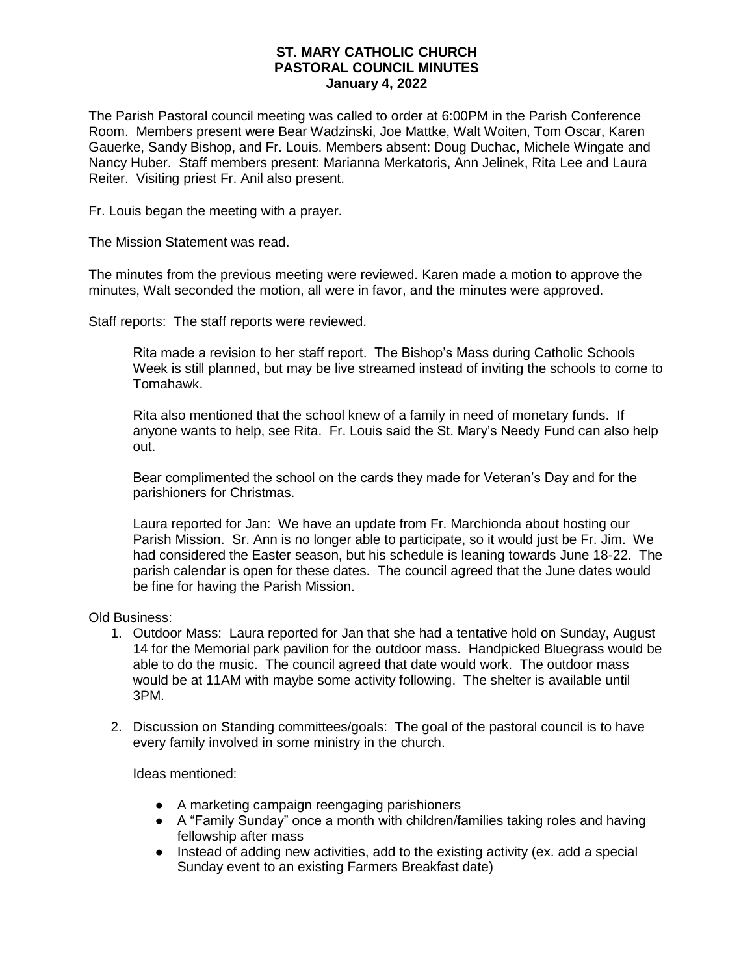## **ST. MARY CATHOLIC CHURCH PASTORAL COUNCIL MINUTES January 4, 2022**

The Parish Pastoral council meeting was called to order at 6:00PM in the Parish Conference Room. Members present were Bear Wadzinski, Joe Mattke, Walt Woiten, Tom Oscar, Karen Gauerke, Sandy Bishop, and Fr. Louis. Members absent: Doug Duchac, Michele Wingate and Nancy Huber. Staff members present: Marianna Merkatoris, Ann Jelinek, Rita Lee and Laura Reiter. Visiting priest Fr. Anil also present.

Fr. Louis began the meeting with a prayer.

The Mission Statement was read.

The minutes from the previous meeting were reviewed. Karen made a motion to approve the minutes, Walt seconded the motion, all were in favor, and the minutes were approved.

Staff reports: The staff reports were reviewed.

Rita made a revision to her staff report. The Bishop's Mass during Catholic Schools Week is still planned, but may be live streamed instead of inviting the schools to come to Tomahawk.

Rita also mentioned that the school knew of a family in need of monetary funds. If anyone wants to help, see Rita. Fr. Louis said the St. Mary's Needy Fund can also help out.

Bear complimented the school on the cards they made for Veteran's Day and for the parishioners for Christmas.

Laura reported for Jan: We have an update from Fr. Marchionda about hosting our Parish Mission. Sr. Ann is no longer able to participate, so it would just be Fr. Jim. We had considered the Easter season, but his schedule is leaning towards June 18-22. The parish calendar is open for these dates. The council agreed that the June dates would be fine for having the Parish Mission.

Old Business:

- 1. Outdoor Mass: Laura reported for Jan that she had a tentative hold on Sunday, August 14 for the Memorial park pavilion for the outdoor mass. Handpicked Bluegrass would be able to do the music. The council agreed that date would work. The outdoor mass would be at 11AM with maybe some activity following. The shelter is available until 3PM.
- 2. Discussion on Standing committees/goals: The goal of the pastoral council is to have every family involved in some ministry in the church.

Ideas mentioned:

- A marketing campaign reengaging parishioners
- A "Family Sunday" once a month with children/families taking roles and having fellowship after mass
- Instead of adding new activities, add to the existing activity (ex. add a special Sunday event to an existing Farmers Breakfast date)